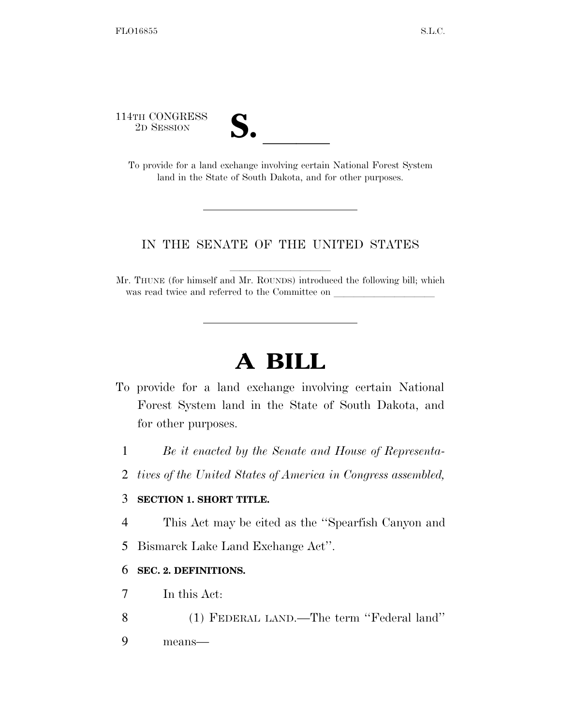114TH CONGRESS



TH CONGRESS<br>
2D SESSION<br>
To provide for a land exchange involving certain National Forest System land in the State of South Dakota, and for other purposes.

## IN THE SENATE OF THE UNITED STATES

Mr. THUNE (for himself and Mr. ROUNDS) introduced the following bill; which was read twice and referred to the Committee on

## **A BILL**

- To provide for a land exchange involving certain National Forest System land in the State of South Dakota, and for other purposes.
	- 1 *Be it enacted by the Senate and House of Representa-*
	- 2 *tives of the United States of America in Congress assembled,*

## 3 **SECTION 1. SHORT TITLE.**

- 4 This Act may be cited as the ''Spearfish Canyon and
- 5 Bismarck Lake Land Exchange Act''.

## 6 **SEC. 2. DEFINITIONS.**

- 7 In this Act:
- 8 (1) FEDERAL LAND.—The term ''Federal land''
- 9 means—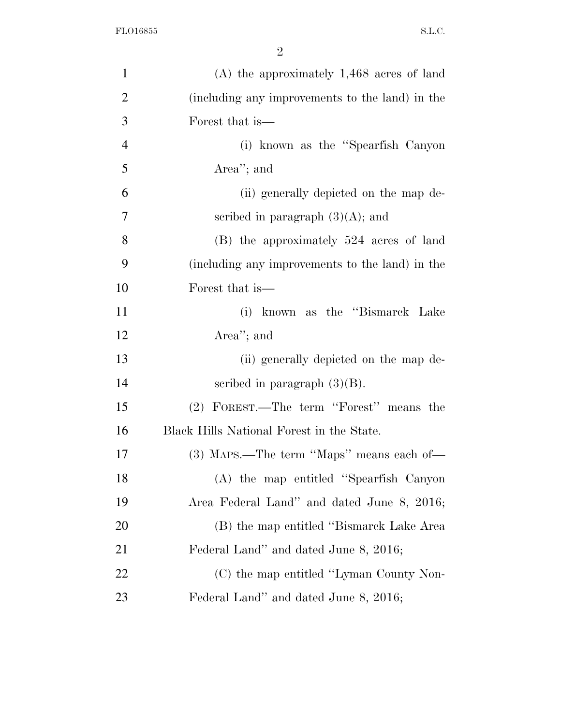| $\mathbf{1}$   | $(A)$ the approximately 1,468 acres of land     |
|----------------|-------------------------------------------------|
| $\overline{2}$ | (including any improvements to the land) in the |
| 3              | Forest that is—                                 |
| $\overline{4}$ | (i) known as the "Spearfish Canyon"             |
| 5              | Area"; and                                      |
| 6              | (ii) generally depicted on the map de-          |
| $\overline{7}$ | scribed in paragraph $(3)(A)$ ; and             |
| 8              | (B) the approximately 524 acres of land         |
| 9              | (including any improvements to the land) in the |
| 10             | Forest that is—                                 |
| 11             | (i) known as the "Bismarck Lake                 |
| 12             | Area''; and                                     |
| 13             | (ii) generally depicted on the map de-          |
| 14             | scribed in paragraph $(3)(B)$ .                 |
| 15             | (2) FOREST.—The term "Forest" means the         |
| 16             | Black Hills National Forest in the State.       |
| 17             | (3) MAPS.—The term "Maps" means each of—        |
| 18             | (A) the map entitled "Spearfish Canyon          |
| 19             | Area Federal Land" and dated June 8, 2016;      |
| 20             | (B) the map entitled "Bismarck Lake Area        |
| 21             | Federal Land" and dated June 8, 2016;           |
| 22             | (C) the map entitled "Lyman County Non-         |
| 23             | Federal Land" and dated June 8, 2016;           |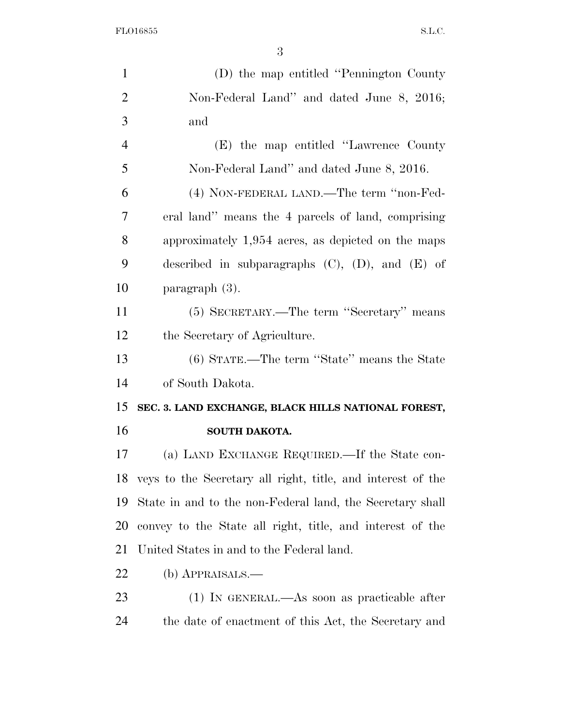FLO16855 S.L.C.

| $\mathbf{1}$   | (D) the map entitled "Pennington County"                       |
|----------------|----------------------------------------------------------------|
| $\overline{2}$ | Non-Federal Land" and dated June 8, 2016;                      |
| 3              | and                                                            |
| $\overline{4}$ | (E) the map entitled "Lawrence County"                         |
| 5              | Non-Federal Land" and dated June 8, 2016.                      |
| 6              | (4) NON-FEDERAL LAND.—The term "non-Fed-                       |
| $\overline{7}$ | eral land" means the 4 parcels of land, comprising             |
| 8              | approximately 1,954 acres, as depicted on the maps             |
| 9              | described in subparagraphs $(C)$ , $(D)$ , and $(E)$ of        |
| 10             | paragraph (3).                                                 |
| 11             | (5) SECRETARY.—The term "Secretary" means                      |
| 12             | the Secretary of Agriculture.                                  |
| 13             | (6) STATE.—The term "State" means the State                    |
| 14             | of South Dakota.                                               |
| 15             | SEC. 3. LAND EXCHANGE, BLACK HILLS NATIONAL FOREST,            |
| 16             | SOUTH DAKOTA.                                                  |
| 17             | (a) LAND EXCHANGE REQUIRED.—If the State con-                  |
|                | 18 veys to the Secretary all right, title, and interest of the |
| 19             | State in and to the non-Federal land, the Secretary shall      |
| 20             | convey to the State all right, title, and interest of the      |
| 21             | United States in and to the Federal land.                      |
| 22             | $(b)$ APPRAISALS.—                                             |
| 23             | $(1)$ In GENERAL.—As soon as practicable after                 |
| 24             | the date of enactment of this Act, the Secretary and           |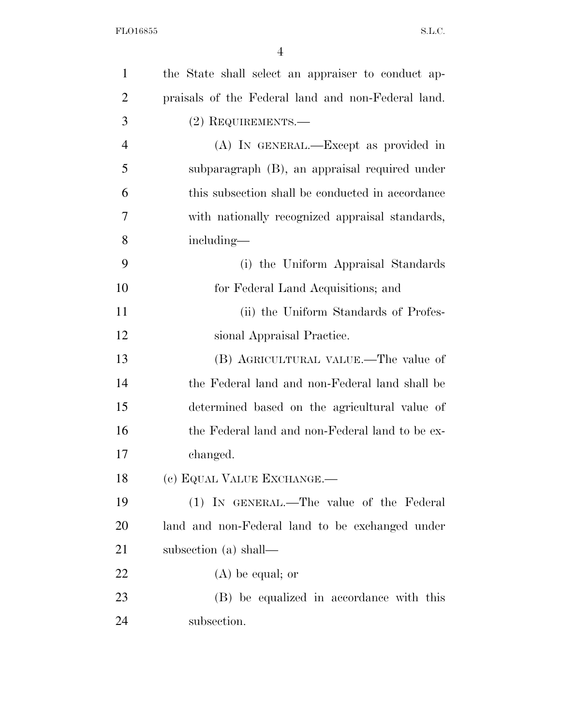| $\mathbf{1}$   | the State shall select an appraiser to conduct ap- |
|----------------|----------------------------------------------------|
| $\overline{2}$ | praisals of the Federal land and non-Federal land. |
| 3              | (2) REQUIREMENTS.—                                 |
| $\overline{4}$ | (A) IN GENERAL.—Except as provided in              |
| 5              | subparagraph (B), an appraisal required under      |
| 6              | this subsection shall be conducted in accordance   |
| 7              | with nationally recognized appraisal standards,    |
| 8              | including—                                         |
| 9              | (i) the Uniform Appraisal Standards                |
| 10             | for Federal Land Acquisitions; and                 |
| 11             | (ii) the Uniform Standards of Profes-              |
| 12             | sional Appraisal Practice.                         |
| 13             | (B) AGRICULTURAL VALUE.—The value of               |
| 14             | the Federal land and non-Federal land shall be     |
| 15             | determined based on the agricultural value of      |
| 16             | the Federal land and non-Federal land to be ex-    |
| 17             | changed.                                           |
| 18             | (c) EQUAL VALUE EXCHANGE.                          |
| 19             | (1) IN GENERAL.—The value of the Federal           |
| 20             | land and non-Federal land to be exchanged under    |
| 21             | subsection (a) shall—                              |
| 22             | $(A)$ be equal; or                                 |
| 23             | (B) be equalized in accordance with this           |
| 24             | subsection.                                        |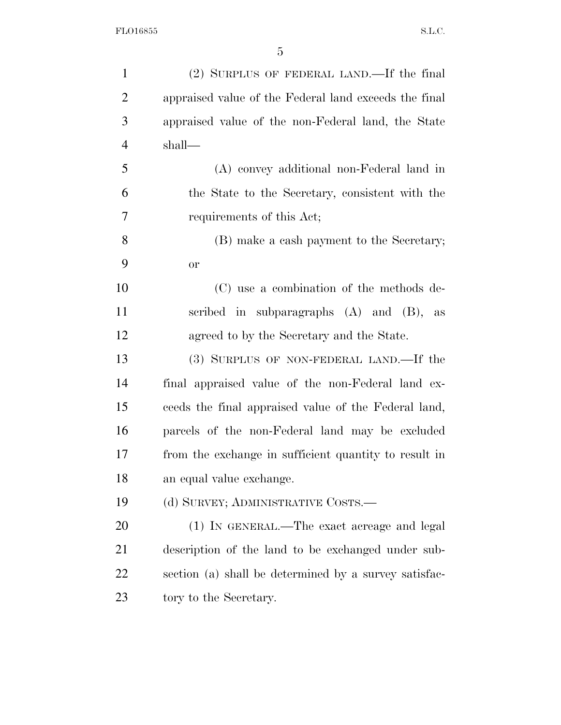| $\mathbf{1}$   | (2) SURPLUS OF FEDERAL LAND.—If the final             |
|----------------|-------------------------------------------------------|
| $\overline{2}$ | appraised value of the Federal land exceeds the final |
| 3              | appraised value of the non-Federal land, the State    |
| $\overline{4}$ | shall—                                                |
| 5              | (A) convey additional non-Federal land in             |
| 6              | the State to the Secretary, consistent with the       |
| 7              | requirements of this Act;                             |
| 8              | (B) make a cash payment to the Secretary;             |
| 9              | <b>or</b>                                             |
| 10             | (C) use a combination of the methods de-              |
| 11             | scribed in subparagraphs $(A)$ and $(B)$ , as         |
| 12             | agreed to by the Secretary and the State.             |
| 13             | (3) SURPLUS OF NON-FEDERAL LAND.—If the               |
| 14             | final appraised value of the non-Federal land ex-     |
| 15             | ceeds the final appraised value of the Federal land,  |
| 16             | parcels of the non-Federal land may be excluded       |
| 17             | from the exchange in sufficient quantity to result in |
| 18             | an equal value exchange.                              |
| 19             | (d) SURVEY; ADMINISTRATIVE COSTS.—                    |
| 20             | (1) IN GENERAL.—The exact acreage and legal           |
| 21             | description of the land to be exchanged under sub-    |
| 22             | section (a) shall be determined by a survey satisfac- |
| 23             | tory to the Secretary.                                |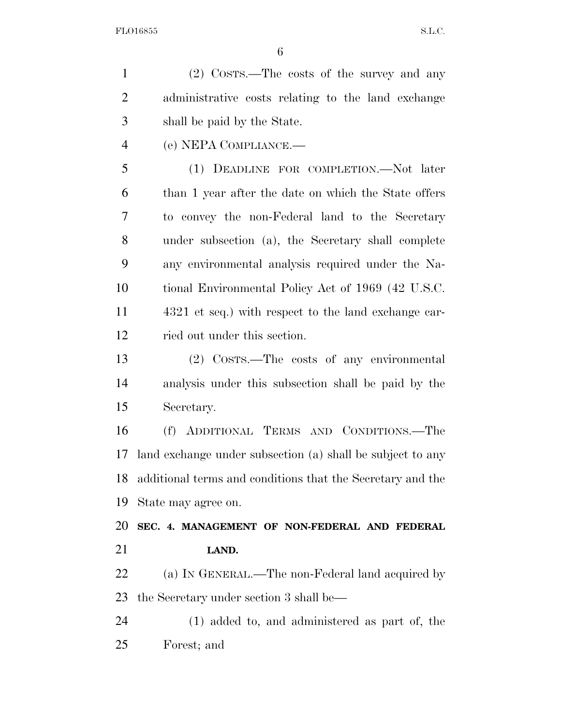(2) COSTS.—The costs of the survey and any administrative costs relating to the land exchange shall be paid by the State. (e) NEPA COMPLIANCE.— (1) DEADLINE FOR COMPLETION.—Not later than 1 year after the date on which the State offers to convey the non-Federal land to the Secretary under subsection (a), the Secretary shall complete any environmental analysis required under the Na-

 tional Environmental Policy Act of 1969 (42 U.S.C. 4321 et seq.) with respect to the land exchange car-ried out under this section.

 (2) COSTS.—The costs of any environmental analysis under this subsection shall be paid by the Secretary.

 (f) ADDITIONAL TERMS AND CONDITIONS.—The land exchange under subsection (a) shall be subject to any additional terms and conditions that the Secretary and the State may agree on.

 **SEC. 4. MANAGEMENT OF NON-FEDERAL AND FEDERAL LAND.** 

22 (a) IN GENERAL.—The non-Federal land acquired by the Secretary under section 3 shall be—

 (1) added to, and administered as part of, the Forest; and